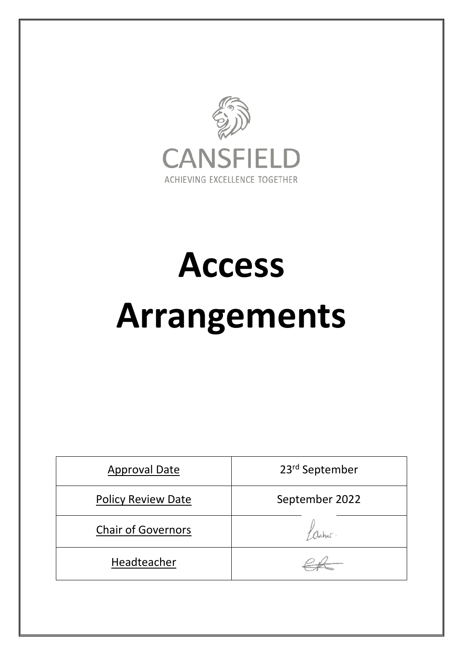

# **Access**

## **Arrangements**

| <b>Approval Date</b>      | 23rd September |
|---------------------------|----------------|
| <b>Policy Review Date</b> | September 2022 |
| <b>Chair of Governors</b> | Lacher         |
| Headteacher               |                |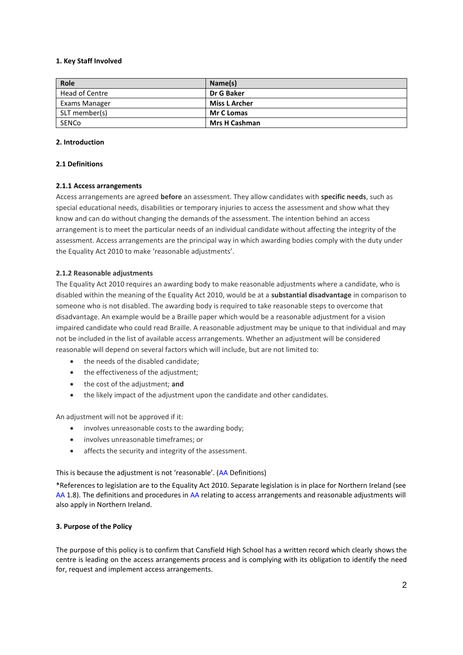#### **1. Key Staff Involved**

| Role           | Name(s)              |
|----------------|----------------------|
| Head of Centre | Dr G Baker           |
| Exams Manager  | <b>Miss L Archer</b> |
| SLT member(s)  | <b>Mr C Lomas</b>    |
| SENCo          | <b>Mrs H Cashman</b> |

## **2. Introduction**

#### **2.1 Definitions**

#### **2.1.1 Access arrangements**

Access arrangements are agreed **before** an assessment. They allow candidates with **specific needs**, such as special educational needs, disabilities or temporary injuries to access the assessment and show what they know and can do without changing the demands of the assessment. The intention behind an access arrangement is to meet the particular needs of an individual candidate without affecting the integrity of the assessment. Access arrangements are the principal way in which awarding bodies comply with the duty under the Equality Act 2010 to make 'reasonable adjustments'.

#### **2.1.2 Reasonable adjustments**

The Equality Act 2010 requires an awarding body to make reasonable adjustments where a candidate, who is disabled within the meaning of the Equality Act 2010, would be at a **substantial disadvantage** in comparison to someone who is not disabled. The awarding body is required to take reasonable steps to overcome that disadvantage. An example would be a Braille paper which would be a reasonable adjustment for a vision impaired candidate who could read Braille. A reasonable adjustment may be unique to that individual and may not be included in the list of available access arrangements. Whether an adjustment will be considered reasonable will depend on several factors which will include, but are not limited to:

- the needs of the disabled candidate;
- the effectiveness of the adjustment;
- the cost of the adjustment; **and**
- the likely impact of the adjustment upon the candidate and other candidates.

An adjustment will not be approved if it:

- involves unreasonable costs to the awarding body;
- involves unreasonable timeframes; or
- affects the security and integrity of the assessment.

This is because the adjustment is not 'reasonable'. ([AA](http://www.jcq.org.uk/exams-office/access-arrangements-and-special-consideration/regulations-and-guidance) Definitions)

\*References to legislation are to the Equality Act 2010. Separate legislation is in place for Northern Ireland (see [AA](http://www.jcq.org.uk/exams-office/access-arrangements-and-special-consideration/regulations-and-guidance) 1.8). The definitions and procedures in [AA](http://www.jcq.org.uk/exams-office/access-arrangements-and-special-consideration/regulations-and-guidance) relating to access arrangements and reasonable adjustments will also apply in Northern Ireland.

#### **3. Purpose of the Policy**

The purpose of this policy is to confirm that Cansfield High School has a written record which clearly shows the centre is leading on the access arrangements process and is complying with its obligation to identify the need for, request and implement access arrangements.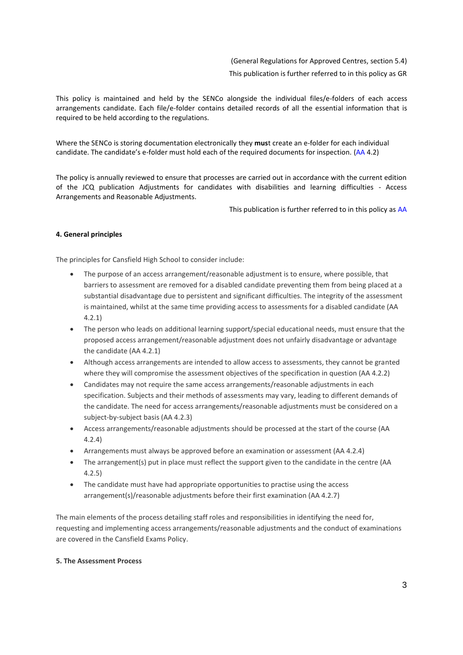(General Regulations for Approved Centres, section 5.4) This publication is further referred to in this policy a[s GR](http://www.jcq.org.uk/exams-office/general-regulations)

This policy is maintained and held by the SENCo alongside the individual files/e-folders of each access arrangements candidate. Each file/e-folder contains detailed records of all the essential information that is required to be held according to the regulations.

Where the SENCo is storing documentation electronically they **mus**t create an e-folder for each individual candidate. The candidate's e-folder must hold each of the required documents for inspection. [\(AA](http://www.jcq.org.uk/exams-office/access-arrangements-and-special-consideration/regulations-and-guidance) 4.2)

The policy is annually reviewed to ensure that processes are carried out in accordance with the current edition of the JCQ publication Adjustments for candidates with disabilities and learning difficulties - Access Arrangements and Reasonable Adjustments.

This publication is further referred to in this policy a[s AA](http://www.jcq.org.uk/exams-office/access-arrangements-and-special-consideration/regulations-and-guidance)

## **4. General principles**

The principles for Cansfield High School to consider include:

- The purpose of an access arrangement/reasonable adjustment is to ensure, where possible, that barriers to assessment are removed for a disabled candidate preventing them from being placed at a substantial disadvantage due to persistent and significant difficulties. The integrity of the assessment is maintained, whilst at the same time providing access to assessments for a disabled candidate (AA 4.2.1)
- The person who leads on additional learning support/special educational needs, must ensure that the proposed access arrangement/reasonable adjustment does not unfairly disadvantage or advantage the candidate (AA 4.2.1)
- Although access arrangements are intended to allow access to assessments, they cannot be granted where they will compromise the assessment objectives of the specification in question (AA 4.2.2)
- Candidates may not require the same access arrangements/reasonable adjustments in each specification. Subjects and their methods of assessments may vary, leading to different demands of the candidate. The need for access arrangements/reasonable adjustments must be considered on a subject-by-subject basis (AA 4.2.3)
- Access arrangements/reasonable adjustments should be processed at the start of the course (AA 4.2.4)
- Arrangements must always be approved before an examination or assessment (AA 4.2.4)
- The arrangement(s) put in place must reflect the support given to the candidate in the centre (AA 4.2.5)
- The candidate must have had appropriate opportunities to practise using the access arrangement(s)/reasonable adjustments before their first examination (AA 4.2.7)

The main elements of the process detailing staff roles and responsibilities in identifying the need for, requesting and implementing access arrangements/reasonable adjustments and the conduct of examinations are covered in the Cansfield Exams Policy.

## **5. The Assessment Process**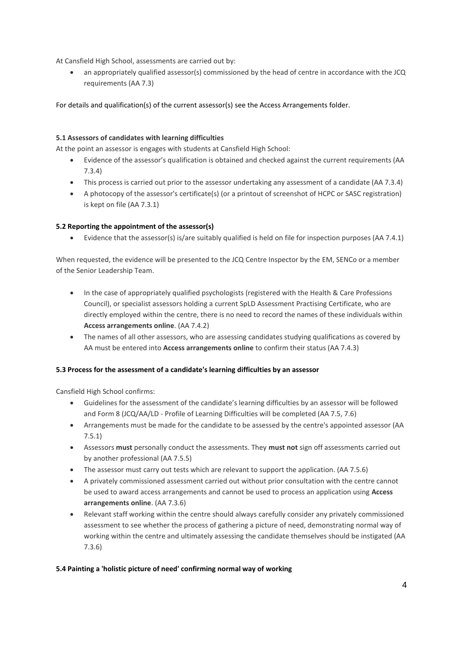At Cansfield High School, assessments are carried out by:

• an appropriately qualified assessor(s) commissioned by the head of centre in accordance with the JCQ requirements (AA 7.3)

For details and qualification(s) of the current assessor(s) see the Access Arrangements folder.

## **5.1 Assessors of candidates with learning difficulties**

At the point an assessor is engages with students at Cansfield High School:

- Evidence of the assessor's qualification is obtained and checked against the current requirements (AA 7.3.4)
- This process is carried out prior to the assessor undertaking any assessment of a candidate (AA 7.3.4)
- A photocopy of the assessor's certificate(s) (or a printout of screenshot of HCPC or SASC registration) is kept on file (AA 7.3.1)

## **5.2 Reporting the appointment of the assessor(s)**

Evidence that the assessor(s) is/are suitably qualified is held on file for inspection purposes (AA 7.4.1)

When requested, the evidence will be presented to the JCQ Centre Inspector by the EM, SENCo or a member of the Senior Leadership Team.

- In the case of appropriately qualified psychologists (registered with the Health & Care Professions Council), or specialist assessors holding a current SpLD Assessment Practising Certificate, who are directly employed within the centre, there is no need to record the names of these individuals within **Access arrangements online**. (AA 7.4.2)
- The names of all other assessors, who are assessing candidates studying qualifications as covered by AA must be entered into **Access arrangements online** to confirm their status (AA 7.4.3)

## **5.3 Process for the assessment of a candidate's learning difficulties by an assessor**

Cansfield High School confirms:

- Guidelines for the assessment of the candidate's learning difficulties by an assessor will be followed and Form 8 (JCQ/AA/LD - Profile of Learning Difficulties will be completed (AA 7.5, 7.6)
- Arrangements must be made for the candidate to be assessed by the centre's appointed assessor (AA 7.5.1)
- Assessors **must** personally conduct the assessments. They **must not** sign off assessments carried out by another professional (AA 7.5.5)
- The assessor must carry out tests which are relevant to support the application. (AA 7.5.6)
- A privately commissioned assessment carried out without prior consultation with the centre cannot be used to award access arrangements and cannot be used to process an application using **Access arrangements online**. (AA 7.3.6)
- Relevant staff working within the centre should always carefully consider any privately commissioned assessment to see whether the process of gathering a picture of need, demonstrating normal way of working within the centre and ultimately assessing the candidate themselves should be instigated (AA 7.3.6)

## **5.4 Painting a 'holistic picture of need' confirming normal way of working**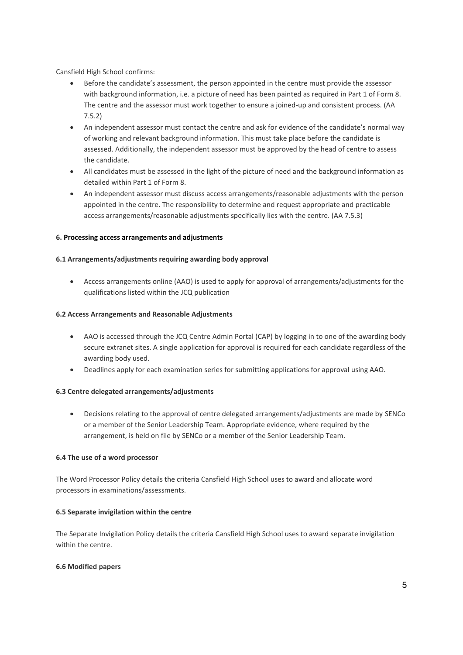Cansfield High School confirms:

- Before the candidate's assessment, the person appointed in the centre must provide the assessor with background information, i.e. a picture of need has been painted as required in Part 1 of Form 8. The centre and the assessor must work together to ensure a joined-up and consistent process. (AA 7.5.2)
- An independent assessor must contact the centre and ask for evidence of the candidate's normal way of working and relevant background information. This must take place before the candidate is assessed. Additionally, the independent assessor must be approved by the head of centre to assess the candidate.
- All candidates must be assessed in the light of the picture of need and the background information as detailed within Part 1 of Form 8.
- An independent assessor must discuss access arrangements/reasonable adjustments with the person appointed in the centre. The responsibility to determine and request appropriate and practicable access arrangements/reasonable adjustments specifically lies with the centre. (AA 7.5.3)

## **6. Processing access arrangements and adjustments**

## **6.1 Arrangements/adjustments requiring awarding body approval**

 Access arrangements online (AAO) is used to apply for approval of arrangements/adjustments for the qualifications listed within the JCQ publication

## **6.2 Access Arrangements and Reasonable Adjustments**

- AAO is accessed through the JCQ Centre Admin Portal (CAP) by logging in to one of the awarding body secure extranet sites. A single application for approval is required for each candidate regardless of the awarding body used.
- Deadlines apply for each examination series for submitting applications for approval using AAO.

## **6.3 Centre delegated arrangements/adjustments**

 Decisions relating to the approval of centre delegated arrangements/adjustments are made by SENCo or a member of the Senior Leadership Team. Appropriate evidence, where required by the arrangement, is held on file by SENCo or a member of the Senior Leadership Team.

## **6.4 The use of a word processor**

The Word Processor Policy details the criteria Cansfield High School uses to award and allocate word processors in examinations/assessments.

## **6.5 Separate invigilation within the centre**

The Separate Invigilation Policy details the criteria Cansfield High School uses to award separate invigilation within the centre.

## **6.6 Modified papers**